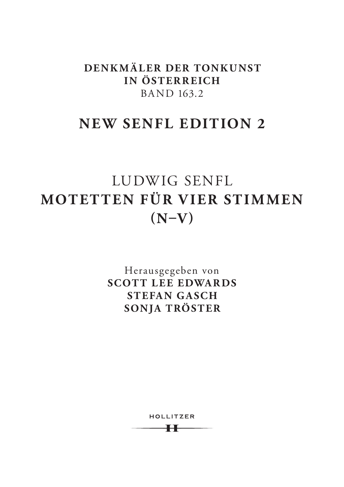**DENKMÄLER DER TONKUNST IN ÖSTERREICH** BAND 163.2

# **NEW SENFL EDITION 2**

# LUDWIG SENFL **MOTETTEN FÜR VIER STIMMEN (N–V)**

Herausgegeben von **SCOTT LEE EDWARDS STEFAN GASCH SONJA TRÖSTER**

> HOLLITZER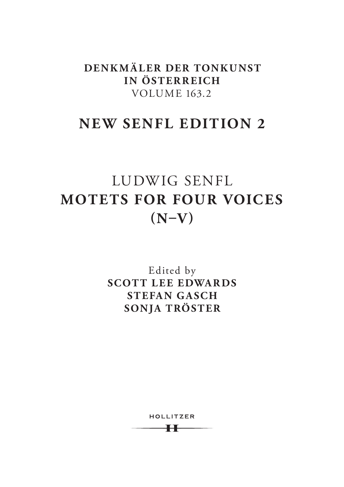**DENKMÄLER DER TONKUNST IN ÖSTERREICH** VOLUME 163.2

# **NEW SENFL EDITION 2**

# LUDWIG SENFL **MOTETS FOR FOUR VOICES (N–V)**

Edited by **SCOTT LEE EDWARDS STEFAN GASCH SONJA TRÖSTER**

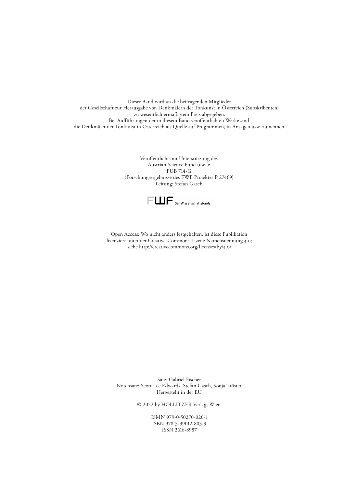Dieser Band wird an die beitragenden Mitglieder der Gesellschaft zur Herausgabe von Denkmälern der Tonkunst in Österreich (Subskribenten) zu wesentlich ermäßigtem Preis abgegeben. Bei Auführungen der in diesem Band veröfentlichten Werke sind die Denkmäler der Tonkunst in Österreich als Quelle auf Programmen, in Ansagen usw. zu nennen.

> Veröfentlicht mit Unterstützung des Austrian Science Fund (FWF): PUB 714-G (Forschungsergebnisse des FWF-Projektes P 27469) Leitung: Stefan Gasch



Open Access: Wo nicht anders festgehalten, ist diese Publikation lizenziert unter der Creative-Commons-Lizenz Namensnennung 4.0; siehe http://creativecommons.org/licenses/by/4.0/

Satz: Gabriel Fischer Notensatz: Scott Lee Edwards, Stefan Gasch, Sonja Tröster Hergestellt in der EU

© 2022 by HOLLITZER Verlag, Wien

ISMN 979-0-50270-020-1 ISBN 978-3-99012-803-9 ISSN 2616-8987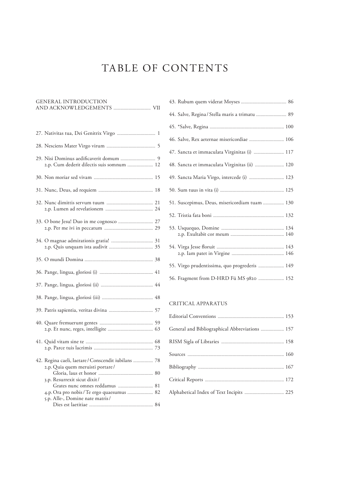# TABLE OF CONTENTS

| <b>GENERAL INTRODUCTION</b>                                                             |  |
|-----------------------------------------------------------------------------------------|--|
|                                                                                         |  |
| 27. Nativitas tua, Dei Genitrix Virgo  1                                                |  |
|                                                                                         |  |
| 2.p. Cum dederit dilectis suis somnum  12                                               |  |
|                                                                                         |  |
|                                                                                         |  |
|                                                                                         |  |
|                                                                                         |  |
|                                                                                         |  |
|                                                                                         |  |
|                                                                                         |  |
|                                                                                         |  |
|                                                                                         |  |
|                                                                                         |  |
|                                                                                         |  |
|                                                                                         |  |
| 42. Regina caeli, laetare / Conscendit iubilans  78<br>2.p. Quia quem meruisti portare/ |  |
| 3.p. Resurrexit sicut dixit/                                                            |  |
|                                                                                         |  |
| 4.p. Ora pro nobis / Te ergo quaesumus  82                                              |  |
| 5.p. Alle-, Domine nate matris/                                                         |  |
|                                                                                         |  |

| 44. Salve, Regina / Stella maris a trimatu  89 |  |
|------------------------------------------------|--|
|                                                |  |
| 46. Salve, Rex aeternae misericordiae  106     |  |
| 47. Sancta et immaculata Virginitas (i)  117   |  |
| 48. Sancta et immaculata Virginitas (ii)  120  |  |
| 49. Sancta Maria Virgo, intercede (i)  123     |  |
|                                                |  |
| 51. Suscepimus, Deus, misericordiam tuam  130  |  |
|                                                |  |
|                                                |  |
|                                                |  |
| 55. Virgo prudentissima, quo progrederis  149  |  |
| 56. Fragment from D-HRD Fü MS 9820  152        |  |

## CRITICAL APPARATUS

| General and Bibliographical Abbreviations  157 |  |
|------------------------------------------------|--|
|                                                |  |
|                                                |  |
|                                                |  |
|                                                |  |
| Alphabetical Index of Text Incipits  225       |  |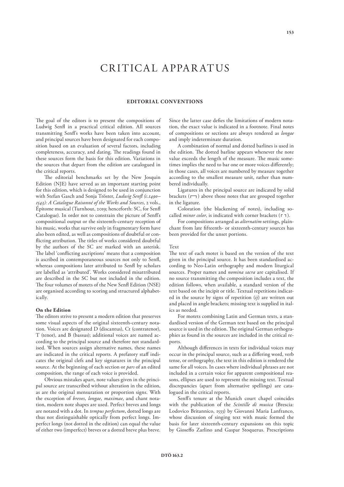# CRITICAL APPAR ATUS

#### **EDITORIAL CONVENTIONS**

The goal of the editors is to present the compositions of Ludwig Senf in a practical critical edition. All sources transmitting Senf's works have been taken into account, and principal sources have been designated for each composition based on an evaluation of several factors, including completeness, accuracy, and dating. The readings found in these sources form the basis for this edition. Variations in the sources that depart from the edition are catalogued in the critical reports.

The editorial benchmarks set by the New Josquin Edition (NJE) have served as an important starting point for this edition, which is designed to be used in conjunction with Stefan Gasch and Sonja Tröster, *Ludwig Senf (c.1490– 1543): A Catalogue Raisonné of the Works and Sources*, 2 vols., Épitome musical (Turnhout, 2019; henceforth: SC, for Senf Catalogue). In order not to constrain the picture of Senf's compositional output or the sixteenth-century reception of his music, works that survive only in fragmentary form have also been edited, as well as compositions of doubtful or conflicting attribution. The titles of works considered doubtful by the authors of the SC are marked with an asterisk. The label 'conflicting ascriptions' means that a composition is ascribed in contemporaneous sources not only to Senf, whereas compositions later attributed to Senfl by scholars are labelled as 'attributed'. Works considered misattributed are described in the SC but not included in the edition. The four volumes of motets of the New Senfl Edition (NSE) are organised according to scoring and structured alphabetically.

#### **On the Edition**

The editors strive to present a modern edition that preserves some visual aspects of the original sixteenth-century notation. Voices are designated D (discantus), Ct (contratenor), T (tenor), and B (bassus); additional voices are named according to the principal source and therefore not standardised. When sources assign alternative names, these names are indicated in the critical reports. A prefatory staff indicates the original clefs and key signatures in the principal source. At the beginning of each section or *pars* of an edited composition, the range of each voice is provided.

Obvious mistakes apart, note values given in the principal source are transcribed without alteration in the edition, as are the original mensuration or proportion signs. With the exception of *breves*, *longae*, *maximae*, and chant notation, modern note shapes are used. Perfect breves and longs are notated with a dot. In *tempus perfectum*, dotted longs are thus not distinguishable optically from perfect longs. Imperfect longs (not dotted in the edition) can equal the value of either two (imperfect) breves or a dotted breve plus breve. Since the latter case defes the limitations of modern notation, the exact value is indicated in a footnote. Final notes of compositions or sections are always rendered as *longae* and imply indeterminate duration.

A combination of normal and dotted barlines is used in the edition. The dotted barline appears whenever the note value exceeds the length of the measure. The music sometimes implies the need to bar one or more voices diferently; in those cases, all voices are numbered by measure together according to the smallest measure unit, rather than numbered individually.

Ligatures in the principal source are indicated by solid brackets  $(\Box)$  above those notes that are grouped together in the ligature.

Coloration (the blackening of notes), including socalled *minor color*, is indicated with corner brackets (┏ ┓).

For compositions arranged as *alternatim* settings, plainchant from late ffteenth- or sixteenth-century sources has been provided for the unset portions.

#### Text

The text of each motet is based on the version of the text given in the principal source. It has been standardised according to Neo-Latin orthography and modern liturgical sources. Proper names and *nomina sacra* are capitalised. If no source transmitting the composition includes a text, the edition follows, when available, a standard version of the text based on the incipit or title. Textual repetitions indicated in the source by signs of repetition (*ij*) are written out and placed in angle brackets; missing text is supplied in italics as needed.

For motets combining Latin and German texts, a standardised version of the German text based on the principal source is used in the edition. The original German orthographies as found in the sources are included in the critical reports.

Although diferences in texts for individual voices may occur in the principal source, such as a difering word, verb tense, or orthography, the text in this edition is rendered the same for all voices. In cases where individual phrases are not included in a certain voice for apparent compositional reasons, ellipses are used to represent the missing text. Textual discrepancies (apart from alternative spellings) are catalogued in the critical reports.

Senf's tenure at the Munich court chapel coincides with the publication of the *Scintille di musica* (Brescia: Lodovico Britannico, 1533) by Giovanni Maria Lanfranco, whose discussion of singing text with music formed the basis for later sixteenth-century expansions on this topic by Giosefo Zarlino and Gaspar Stoquerus. Prescriptions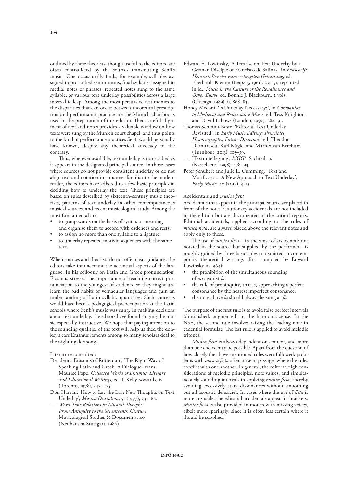outlined by these theorists, though useful to the editors, are often contradicted by the sources transmitting Senf's music. One occasionally fnds, for example, syllables assigned to proscribed semiminims, fnal syllables assigned to medial notes of phrases, repeated notes sung to the same syllable, or various text underlay possibilities across a large intervallic leap. Among the most persuasive testimonies to the disparities that can occur between theoretical prescription and performance practice are the Munich choirbooks used in the preparation of this edition. Their careful alignment of text and notes provides a valuable window on how texts were sung by the Munich court chapel, and thus points to the kind of performance practices Senf would personally have known, despite any theoretical advocacy to the contrary.

Thus, wherever available, text underlay is transcribed as it appears in the designated principal source. In those cases where sources do not provide consistent underlay or do not align text and notation in a manner familiar to the modern reader, the editors have adhered to a few basic principles in deciding how to underlay the text. These principles are based on rules described by sixteenth-century music theorists, patterns of text underlay in other contemporaneous musical sources, and recent musicological study. Among the most fundamental are:

- to group words on the basis of syntax or meaning and organise them to accord with cadences and rests;
- to assign no more than one syllable to a ligature;
- to underlay repeated motivic sequences with the same text.

When sources and theorists do not offer clear guidance, the editors take into account the accentual aspects of the language. In his colloquy on Latin and Greek pronunciation, Erasmus stresses the importance of teaching correct pronunciation to the youngest of students, so they might unlearn the bad habits of vernacular languages and gain an understanding of Latin syllabic quantities. Such concerns would have been a pedagogical preoccupation at the Latin schools where Senf's music was sung. In making decisions about text underlay, the editors have found singing the music especially instructive. We hope that paying attention to the sounding qualities of the text will help us shed the donkey's ears Erasmus laments among so many scholars deaf to the nightingale's song.

#### Literature consulted:

- Desiderius Erasmus of Rotterdam, 'The Right Way of Speaking Latin and Greek: A Dialogue', trans. Maurice Pope, *Collected Works of Erasmus, Literary and Educational Writings*, ed. J. Kelly Sowards, iv (Toronto, 1978), 347–475.
- Don Harrán, 'How to Lay the Lay: New Thoughts on Text Underlay', *Musica Disciplina*, 51 (1997), 231–62.
- *Word-Tone Relations in Musical Tought: From Antiquity to the Seventeenth Century*, Musicological Studies & Documents, 40 (Neuhausen-Stuttgart, 1986).
- Edward E. Lowinsky, 'A Treatise on Text Underlay by a German Disciple of Francisco de Salinas', in *Festschrift Heinrich Besseler zum sechzigsten Geburtstag*, ed. Eberhardt Klemm (Leipzig, 1961), 231–51, reprinted in id., *Music in the Culture of the Renaissance and Other Essays*, ed. Bonnie J. Blackburn, 2 vols. (Chicago, 1989), ii, 868–83.
- Honey Meconi, 'Is Underlay Necessary?', in *Companion to Medieval and Renaissance Music*, ed. Tess Knighton and David Fallows (London, 1992), 284–91.
- Thomas Schmidt-Beste, 'Editorial Text Underlay Revisited', in *Early Music Editing: Principles,*  Historiography, Future Directions, ed. Theodor Dumitrescu, Karl Kügle, and Marnix van Berchum (Turnhout, 2013), 105–39.
- 'Textunterlegung', *MGG*², Sachteil, ix (Kassel, etc., 1998), 478–93.
- Peter Schubert and Julie E. Cumming, 'Text and Motif c.1500: A New Approach to Text Underlay', *Early Music*, 40 (2012), 3–13.

#### Accidentals and *musica fcta*

Accidentals that appear in the principal source are placed in front of the notes. Cautionary accidentals are not included in the edition but are documented in the critical reports. Editorial accidentals, applied according to the rules of *musica fcta*, are always placed above the relevant notes and apply only to these.

The use of *musica ficta*—in the sense of accidentals not notated in the source but supplied by the performer—is roughly guided by three basic rules transmitted in contemporary theoretical writings (frst compiled by Edward Lowinsky in 1964):

- the prohibition of the simultaneous sounding of *mi* against *fa*;
- the rule of propinquity, that is, approaching a perfect consonance by the nearest imperfect consonance;
- the note above *la* should always be sung as *fa*.

The purpose of the first rule is to avoid false perfect intervals (diminished, augmented) in the harmonic sense. In the NSE, the second rule involves raising the leading note in cadential formulae. The last rule is applied to avoid melodic tritones.

*Musica fcta* is always dependent on context, and more than one choice may be possible. Apart from the question of how closely the above-mentioned rules were followed, problems with *musica fcta* often arise in passages where the rules confict with one another. In general, the editors weigh considerations of melodic principles, note values, and simultaneously sounding intervals in applying *musica fcta*, thereby avoiding excessively stark dissonances without smoothing out all acoustic delicacies. In cases where the use of *fcta* is more arguable, the editorial accidentals appear in brackets. *Musica fcta* is also provided in motets with missing voices, albeit more sparingly, since it is often less certain where it should be supplied.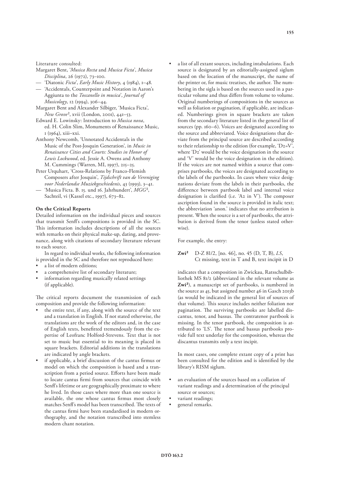Literature consulted:

- Margaret Bent, '*Musica Recta* and *Musica Ficta*', *Musica Disciplina*, 26 (1972), 73–100.
- 'Diatonic *Ficta*', *Early Music History*, 4 (1984), 1–48.
- 'Accidentals, Counterpoint and Notation in Aaron's Aggiunta to the *Toscanello in musica*', *Journal of Musicology*, 12 (1994), 306–44.
- Margaret Bent and Alexander Silbiger, 'Musica Ficta', *New Grove*², xvii (London, 2001), 441–53.
- Edward E. Lowinsky: Introduction to *Musica nova*, ed. H. Colin Slim, Monuments of Renaissance Music, 1 (1964), xiii–xxi.
- Anthony Newcomb, 'Unnotated Accidentals in the Music of the Post-Josquin Generation', in *Music in Renaissance Cities and Courts: Studies in Honor of Lewis Lockwood*, ed. Jessie A. Owens and Anthony M. Cummings (Warren, MI, 1997), 215–25.
- Peter Urquhart, 'Cross-Relations by Franco-Flemish Composers after Josquin', *Tijdschrift van de Vereniging voor Nederlandse Muziekgeschiedenis*, 43 (1993), 3–41.
- 'Musica Ficta. B. 15. und 16. Jahrhundert', *MGG*², Sachteil, vi (Kassel etc., 1997), 673–82.

#### **On the Critical Reports**

Detailed information on the individual pieces and sources that transmit Senf's compositions is provided in the SC. This information includes descriptions of all the sources with remarks on their physical make-up, dating, and provenance, along with citations of secondary literature relevant to each source.

In regard to individual works, the following information is provided in the SC and therefore not reproduced here:

- a list of modern editions;
- a comprehensive list of secondary literature;
- information regarding musically related settings (if applicable).

The critical reports document the transmission of each composition and provide the following information:

- the entire text, if any, along with the source of the text and a translation in English. If not stated otherwise, the translations are the work of the editors and, in the case of English texts, beneftted tremendously from the expertise of Leofranc Holford-Strevens. Text that is not set to music but essential to its meaning is placed in square brackets. Editorial additions in the translations are indicated by angle brackets.
- if applicable, a brief discussion of the cantus frmus or model on which the composition is based and a transcription from a period source. Efforts have been made to locate cantus frmi from sources that coincide with Senf's lifetime or are geographically proximate to where he lived. In those cases where more than one source is available, the one whose cantus frmus most closely matches Senft's model has been transcribed. The texts of the cantus frmi have been standardised in modern orthography, and the notation transcribed into stemless modern chant notation.

a list of all extant sources, including intabulations. Each source is designated by an editorially-assigned siglum based on the location of the manuscript, the name of the printer or, for music treatises, the author. The numbering in the sigla is based on the sources used in a particular volume and thus difers from volume to volume. Original numberings of compositions in the sources as well as foliation or pagination, if applicable, are indicated. Numberings given in square brackets are taken from the secondary literature listed in the general list of sources (pp. 160–6). Voices are designated according to the source and abbreviated. Voice designations that deviate from the principal source are described according to their relationship to the edition (for example, 'D2=V', where 'D2' would be the voice designation in the source and 'V' would be the voice designation in the edition). If the voices are not named within a source that comprises partbooks, the voices are designated according to the labels of the partbooks. In cases where voice designations deviate from the labels in their partbooks, the diference between partbook label and internal voice designation is clarified (i.e. 'A2 in V'). The composer ascription found in the source is provided in italic text; the abbreviation 'anon.' indicates that no attribution is present. When the source is a set of partbooks, the attribution is derived from the tenor (unless stated otherwise).

For example, the entry:

**Zwi²** D-Z 81/2, [no. 46], no. 45 (D, T, B), *LS*, Ct missing, text in T and B, text incipit in D

indicates that a composition in Zwickau, Ratsschulbibliothek MS 81/2 (abbreviated in the relevant volume as **Zwi²**), a manuscript set of partbooks, is numbered in the source as 45, but assigned number 46 in Gasch 2013b (as would be indicated in the general list of sources of that volume). This source includes neither foliation nor pagination. The surviving partbooks are labelled discantus, tenor, and bassus. The contratenor partbook is missing. In the tenor partbook, the composition is attributed to 'LS'. The tenor and bassus partbooks provide full text underlay for the composition, whereas the discantus transmits only a text incipit.

In most cases, one complete extant copy of a print has been consulted for the edition and is identifed by the library's RISM siglum.

- an evaluation of the sources based on a collation of variant readings and a determination of the principal source or sources;
- variant readings;
- general remarks.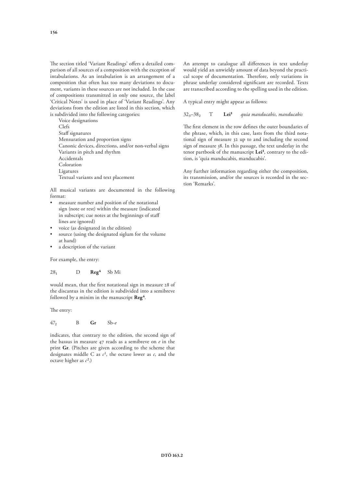The section titled 'Variant Readings' offers a detailed comparison of all sources of a composition with the exception of intabulations. As an intabulation is an arrangement of a composition that often has too many deviations to document, variants in these sources are not included. In the case of compositions transmitted in only one source, the label 'Critical Notes' is used in place of 'Variant Readings'. Any deviations from the edition are listed in this section, which is subdivided into the following categories:

Voice designations Clefs Staff signatures Mensuration and proportion signs Canonic devices, directions, and/or non-verbal signs Variants in pitch and rhythm Accidentals Coloration Ligatures Textual variants and text placement

All musical variants are documented in the following format:

- measure number and position of the notational sign (note or rest) within the measure (indicated in subscript; cue notes at the beginnings of staf lines are ignored)
- voice (as designated in the edition)
- source (using the designated siglum for the volume at hand)
- a description of the variant

For example, the entry:

$$
28_1 \qquad \qquad D \qquad \textbf{Reg}^4 \quad \text{Sb Mi}
$$

would mean, that the frst notational sign in measure 28 of the discantus in the edition is subdivided into a semibreve followed by a minim in the manuscript **Reg4**.

The entry:

$$
47_2 \qquad \qquad B \qquad \mathbf{Gr} \qquad \mathbf{Sb} \text{-} e
$$

indicates, that contrary to the edition, the second sign of the bassus in measure 47 reads as a semibreve on *e* in the print **Gr**. (Pitches are given according to the scheme that designates middle C as  $c^1$ , the octave lower as  $c$ , and the octave higher as *c*².)

An attempt to catalogue all diferences in text underlay would yield an unwieldy amount of data beyond the practical scope of documentation. Therefore, only variations in phrase underlay considered signifcant are recorded. Texts are transcribed according to the spelling used in the edition.

A typical entry might appear as follows:

323–382 T **Lei¹** *quia manducabis, manducabis*

The first element in the row defines the outer boundaries of the phrase, which, in this case, lasts from the third notational sign of measure 32 up to and including the second sign of measure 38. In this passage, the text underlay in the tenor partbook of the manuscript Lei<sup>1</sup>, contrary to the edition, is 'quia manducabis, manducabis'.

Any further information regarding either the composition, its transmission, and/or the sources is recorded in the section 'Remarks'.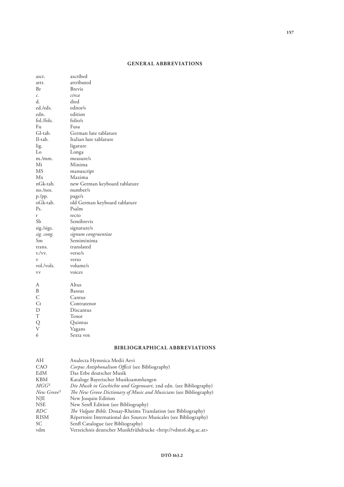## **GENERAL ABBREVIATIONS**

| ascr.            | ascribed                      |
|------------------|-------------------------------|
| attr.            | attributed                    |
| Br               | <b>Brevis</b>                 |
| $\mathcal{C}$ .  | circa                         |
| d.               | died                          |
| ed./eds.         | editor/s                      |
| edn.             | edition                       |
| fol./fols.       | folio/s                       |
| Fu               | Fusa                          |
| Gl-tab.          | German lute tablature         |
| Il-tab.          | Italian lute tablature        |
| lig.             | ligature                      |
| Lo               | Longa                         |
| m./mm.           | measure/s                     |
| Mi               | Minima                        |
| <b>MS</b>        | manuscript                    |
| Mx               | Maxima                        |
| nGk-tab.         | new German keyboard tablature |
| no./nos.         | number/s                      |
| p./pp.           | page/s                        |
| oGk-tab.         | old German keyboard tablature |
| P <sub>s</sub> . | Psalm                         |
| r                | recto                         |
| Sb               | Semibrevis                    |
| sig./sigs.       | signature/s                   |
| sig. cong.       | signum congruentiae           |
| Sm               | Semiminima                    |
| trans.           | translated                    |
| v./vv.           | verse/s                       |
| V                | verso                         |
| vol./vols.       | volume/s                      |
| VV               | voices                        |
| А                | Altus                         |
| B                | <b>Bassus</b>                 |
| $\overline{C}$   | Cantus                        |
| $C_{t}$          | Contratenor                   |
| $\mathbf D$      | Discantus                     |
| $\mathbf T$      | Tenor                         |
|                  | Quintus                       |
| Q<br>V           | Vagans                        |
| 6                | Sexta vox                     |
|                  |                               |

# **BIBLIOGRAPHICAL ABBREVIATIONS**

| AH                     | Analecta Hymnica Medii Aevi                                              |
|------------------------|--------------------------------------------------------------------------|
| CAO                    | Corpus Antiphonalium Officii (see Bibliography)                          |
| EdM                    | Das Erbe deutscher Musik                                                 |
| <b>KBM</b>             | Kataloge Bayerischer Musiksammlungen                                     |
| $MGG^2$                | Die Musik in Geschichte und Gegenwart, 2nd edn. (see Bibliography)       |
| New Grove <sup>2</sup> | The New Grove Dictionary of Music and Musicians (see Bibliography)       |
| <b>NJE</b>             | New Josquin Edition                                                      |
| <b>NSE</b>             | New Senfl Edition (see Bibliography)                                     |
| RDC                    | The Vulgate Bible. Douay-Rheims Translation (see Bibliography)           |
| <b>RISM</b>            | Répertoire International des Sources Musicales (see Bibliography)        |
| SC.                    | Senfl Catalogue (see Bibliography)                                       |
| vdm                    | Verzeichnis deutscher Musikfrühdrucke <http: vdm16.sbg.ac.at=""></http:> |
|                        |                                                                          |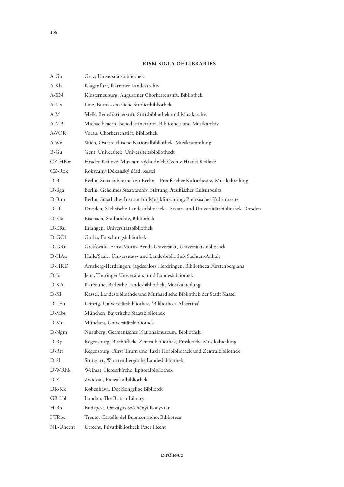# **RISM SIGLA OF LIBRARIES**

| A-Gu      | Graz, Universitätsbibliothek                                                      |
|-----------|-----------------------------------------------------------------------------------|
| A-Kla     | Klagenfurt, Kärntner Landesarchiv                                                 |
| A-KN      | Klosterneuburg, Augustiner Chorherrenstift, Bibliothek                            |
| A-LIs     | Linz, Bundesstaatliche Studienbibliothek                                          |
| $A-M$     | Melk, Benediktinerstift, Stiftsbibliothek und Musikarchiv                         |
| $A-MB$    | Michaelbeuern, Benediktinerabtei, Bibliothek und Musikarchiv                      |
| A-VOR     | Vorau, Chorherrenstift, Bibliothek                                                |
| A-Wn      | Wien, Österreichische Nationalbibliothek, Musiksammlung                           |
| $B-Gu$    | Gent, Universiteit, Universiteitsbibliotheek                                      |
| CZ-HKm    | Hradec Králové, Muzeum východních Čech v Hradci Králové                           |
| CZ-Rok    | Rokycany, Děkanský úřad, kostel                                                   |
| $D-B$     | Berlin, Staatsbibliothek zu Berlin - Preußischer Kulturbesitz, Musikabteilung     |
| $D-Bga$   | Berlin, Geheimes Staatsarchiv, Stiftung Preußischer Kulturbesitz                  |
| D-Bim     | Berlin, Staatliches Institut für Musikforschung, Preußischer Kulturbesitz         |
| $D-Dl$    | Dresden, Sächsische Landesbibliothek - Staats- und Universitätsbibliothek Dresden |
| D-EIa     | Eisenach, Stadtarchiv, Bibliothek                                                 |
| D-ERu     | Erlangen, Universitätsbibliothek                                                  |
| D-GOI     | Gotha, Forschungsbibliothek                                                       |
| D-GRu     | Greifswald, Ernst-Moritz-Arndt-Universität, Universitätsbibliothek                |
| D-HAu     | Halle/Saale, Universitäts- und Landesbibliothek Sachsen-Anhalt                    |
| D-HRD     | Arnsberg-Herdringen, Jagdschloss Herdringen, Bibliotheca Fürstenbergiana          |
| $D-Ju$    | Jena, Thüringer Universitäts- und Landesbibliothek                                |
| $D-KA$    | Karlsruhe, Badische Landesbibliothek, Musikabteilung                              |
| D-Kl      | Kassel, Landesbibliothek und Murhard'sche Bibliothek der Stadt Kassel             |
| D-LEu     | Leipzig, Universitätsbibliothek, 'Bibliotheca Albertina'                          |
| D-Mbs     | München, Bayerische Staatsbibliothek                                              |
| $D-Mu$    | München, Universitätsbibliothek                                                   |
| D-Ngm     | Nürnberg, Germanisches Nationalmuseum, Bibliothek                                 |
| $D-Rp$    | Regensburg, Bischöfliche Zentralbibliothek, Proskesche Musikabteilung             |
| D-Rtt     | Regensburg, Fürst Thurn und Taxis Hofbibliothek und Zentralbibliothek             |
| $D-Sl$    | Stuttgart, Württembergische Landesbibliothek                                      |
| D-WRhk    | Weimar, Herderkirche, Ephoralbibliothek                                           |
| $D-Z$     | Zwickau, Ratsschulbibliothek                                                      |
| DK-Kk     | København, Det Kongelige Bibliotek                                                |
| GB-Lbl    | London, The British Library                                                       |
| $H-Bn$    | Budapest, Országos Széchényi Könyvtár                                             |
| I-TRbc    | Trento, Castello del Buonconsiglio, Biblioteca                                    |
| NL-Uhecht | Utrecht, Privatbibliotheek Peter Hecht                                            |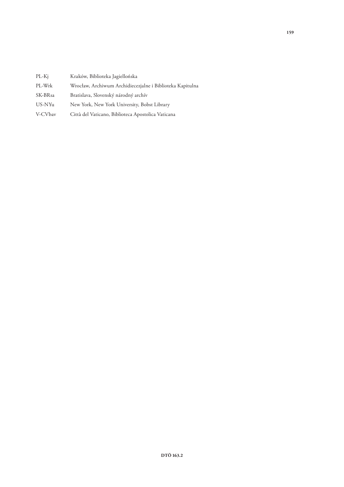| $PL-Kj$ |  |  | Kraków, Biblioteka Jagiellońska |
|---------|--|--|---------------------------------|
|---------|--|--|---------------------------------|

- PL-Wrk Wrocław, Archiwum Archidiecezjalne i Biblioteka Kapitulna
- SK-BRsa Bratislava, Slovenský národný archív
- US-NYu New York, New York University, Bobst Library
- V-CVbav Città del Vaticano, Biblioteca Apostolica Vaticana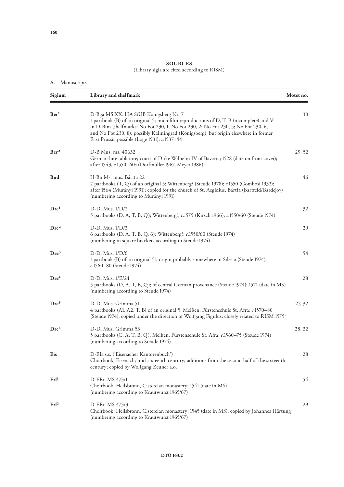### **SOURCES** (Library sigla are cited according to RISM)

# A. Manuscripts

| Siglum           | Library and shelfmark                                                                                                                                                                                                                                                                                                                                         | Motet no. |
|------------------|---------------------------------------------------------------------------------------------------------------------------------------------------------------------------------------------------------------------------------------------------------------------------------------------------------------------------------------------------------------|-----------|
| Ber <sup>1</sup> | D-Bga MS XX. HA StUB Königsberg Nr. 7<br>1 partbook (B) of an original 5; microfilm reproductions of D, T, B (incomplete) and V<br>in D-Bim (shelfmarks: No Fot 230, 1; No Fot 230, 2; No Fot 230, 5; No Fot 230, 6,<br>and No Fot 230, 8); possibly Kaliningrad (Königsberg), but origin elsewhere in former<br>East Prussia possible (Loge 1931); c.1537-44 | 30        |
| Ber <sup>2</sup> | D-B Mus. ms. 40632<br>German lute tablature; court of Duke Wilhelm IV of Bavaria; 1528 (date on front cover);<br>after 1543, c.1550-60s (Dorfmüller 1967, Meyer 1986)                                                                                                                                                                                         | 29, 52    |
| <b>Bud</b>       | H-Bn Ms. mus. Bártfa 22<br>2 partbooks (T, Q) of an original 5; Wittenberg? (Steude 1978); c.1550 (Gombosi 1932);<br>after 1564 (Murányi 1991); copied for the church of St. Aegidius, Bártfa (Bartfeld/Bardejov)<br>(numbering according to Murányi 1991)                                                                                                    |           |
| Dre <sup>1</sup> | D-Dl Mus. 1/D/2<br>5 partbooks (D, A, T, B, Q); Wittenberg?; c.1575 (Kirsch 1966); c.1550/60 (Steude 1974)                                                                                                                                                                                                                                                    | 32        |
| Dre <sup>2</sup> | $D-Dl$ Mus. $1/D/3$<br>6 partbooks (D, A, T, B, Q, 6); Wittenberg?; c.1550/60 (Steude 1974)<br>(numbering in square brackets according to Steude 1974)                                                                                                                                                                                                        | 29        |
| Dre <sup>3</sup> | D-Dl Mus. 1/D/6<br>1 partbook (B) of an original 5?; origin probably somewhere in Silesia (Steude 1974);<br>c.1560-80 (Steude 1974)                                                                                                                                                                                                                           | 54        |
| Dre <sup>4</sup> | D-Dl Mus. 1/E/24<br>5 partbooks (D, A, T, B, Q); of central German provenance (Steude 1974); 1571 (date in MS)<br>(numbering according to Steude 1974)                                                                                                                                                                                                        | 28        |
| Dre <sup>5</sup> | D-Dl Mus. Grimma 51<br>4 partbooks (A1, A2, T, B) of an original 5; Meißen, Fürstenschule St. Afra; c.1570-80<br>(Steude 1974); copied under the direction of Wolfgang Figulus; closely related to RISM 1575 <sup>2</sup>                                                                                                                                     | 27, 32    |
| Dre <sup>6</sup> | D-Dl Mus. Grimma 53<br>5 partbooks (C, A, T, B, Q); Meißen, Fürstenschule St. Afra; c.1560-75 (Steude 1974)<br>(numbering according to Steude 1974)                                                                                                                                                                                                           |           |
| Eis              | D-EIa s.s. ('Eisenacher Kantorenbuch')<br>Choirbook; Eisenach; mid-sixteenth century; additions from the second half of the sixteenth<br>century; copied by Wolfgang Zeuner a.o.                                                                                                                                                                              |           |
| Erl <sup>1</sup> | D-ERu MS 473/1<br>Choirbook; Heilsbronn, Cistercian monastery; 1541 (date in MS)<br>(numbering according to Krautwurst 1965/67)                                                                                                                                                                                                                               | 54        |
| Erl <sup>2</sup> | D-ERu MS 473/3<br>Choirbook; Heilsbronn, Cistercian monastery; 1545 (date in MS); copied by Johannes Härtung<br>(numbering according to Krautwurst 1965/67)                                                                                                                                                                                                   | 29        |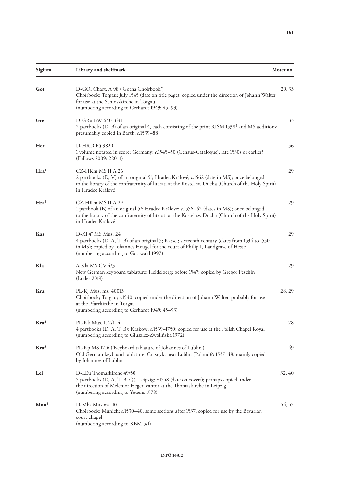| Siglum           | Library and shelfmark                                                                                                                                                                                                                            | Motet no. |
|------------------|--------------------------------------------------------------------------------------------------------------------------------------------------------------------------------------------------------------------------------------------------|-----------|
| Got              | D-GOI Chart. A 98 ('Gotha Choirbook')<br>Choirbook; Torgau; July 1545 (date on title page); copied under the direction of Johann Walter<br>for use at the Schlosskirche in Torgau<br>(numbering according to Gerhardt 1949: 45-93)               | 29, 33    |
| Gre              | D-GRu BW 640-641<br>2 partbooks (D, B) of an original 4, each consisting of the print RISM 1538 <sup>8</sup> and MS additions;<br>presumably copied in Barth; c.1539-88                                                                          | 33        |
| Her              | D-HRD Fü 9820<br>1 volume notated in score; Germany; c.1545–50 (Census-Catalogue), late 1530s or earlier?<br>(Fallows 2009: 220–1)                                                                                                               | 56        |
| Hra <sup>1</sup> | CZ-HKm MS II A 26<br>2 partbooks (D, V) of an original 5?; Hradec Králové; c.1562 (date in MS); once belonged<br>to the library of the confraternity of literati at the Kostel sv. Ducha (Church of the Holy Spirit)<br>in Hradec Králové        |           |
| Hra <sup>2</sup> | CZ-HKm MS II A 29<br>1 partbook (B) of an original 5?; Hradec Králové; c.1556-62 (dates in MS); once belonged<br>to the library of the confraternity of literati at the Kostel sv. Ducha (Church of the Holy Spirit)<br>in Hradec Králové        | 29        |
| Kas              | D-Kl 4° MS Mus. 24<br>4 partbooks (D, A, T, B) of an original 5; Kassel; sixteenth century (dates from 1534 to 1550<br>in MS); copied by Johannes Heugel for the court of Philip I, Landgrave of Hesse<br>(numbering according to Gottwald 1997) | 29        |
| Kla              | A-Kla MS GV 4/3<br>New German keyboard tablature; Heidelberg; before 1547; copied by Gregor Peschin<br>(Lodes 2019)                                                                                                                              | 29        |
| Kra <sup>1</sup> | PL-Kj Mus. ms. 40013<br>Choirbook; Torgau; c.1540; copied under the direction of Johann Walter, probably for use<br>at the Pfarrkirche in Torgau<br>(numbering according to Gerhardt 1949: 45-93)                                                | 28, 29    |
| Kra <sup>2</sup> | PL-Kk Mus. I. 2/1-4<br>4 partbooks (D, A, T, B); Kraków; c.1539-1750; copied for use at the Polish Chapel Royal<br>(numbering according to Głuszlcz-Zwolińska 1972)                                                                              | 28        |
| Kra <sup>3</sup> | PL-Kp MS 1716 ('Keyboard tablature of Johannes of Lublin')<br>Old German keyboard tablature; Crasnyk, near Lublin (Poland)?; 1537–48; mainly copied<br>by Johannes of Lublin                                                                     | 49        |
| Lei              | D-LEu Thomaskirche 49/50<br>5 partbooks (D, A, T, B, Q); Leipzig; c.1558 (date on covers); perhaps copied under<br>the direction of Melchior Heger, cantor at the Thomaskirche in Leipzig<br>(numbering according to Youens 1978)                | 32, 40    |
| Mun <sup>1</sup> | D-Mbs Mus.ms. 10<br>Choirbook; Munich; c.1530–40, some sections after 1537; copied for use by the Bavarian<br>court chapel<br>(numbering according to KBM 5/1)                                                                                   | 54, 55    |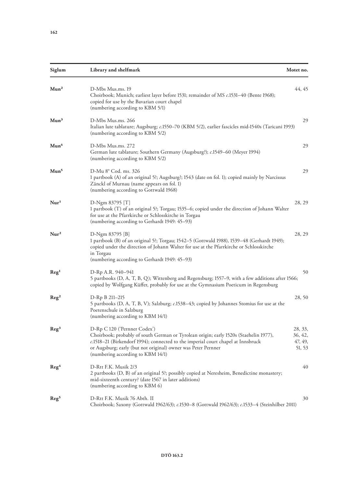| Siglum              | Library and shelfmark                                                                                                                                                                                                                                                                                           | Motet no.                               |
|---------------------|-----------------------------------------------------------------------------------------------------------------------------------------------------------------------------------------------------------------------------------------------------------------------------------------------------------------|-----------------------------------------|
| Mun <sup>2</sup>    | D-Mbs Mus.ms. 19<br>Choirbook; Munich; earliest layer before 1531; remainder of MS c.1531-40 (Bente 1968);<br>copied for use by the Bavarian court chapel<br>(numbering according to KBM 5/1)                                                                                                                   |                                         |
| Mun <sup>3</sup>    | D-Mbs Mus.ms. 266<br>Italian lute tablature; Augsburg; c.1550–70 (KBM 5/2), earlier fascicles mid-1540s (Taricani 1993)<br>(numbering according to KBM 5/2)                                                                                                                                                     |                                         |
| Mun <sup>4</sup>    | D-Mbs Mus.ms. 272<br>German lute tablature; Southern Germany (Augsburg?); c.1549–60 (Meyer 1994)<br>(numbering according to KBM 5/2)                                                                                                                                                                            |                                         |
| Mun <sup>5</sup>    | D-Mu 8° Cod. ms. 326<br>1 partbook (A) of an original 5?; Augsburg?; 1543 (date on fol. 1); copied mainly by Narcissus<br>Zänckl of Murnau (name appears on fol. 1)<br>(numbering according to Gottwald 1968)                                                                                                   |                                         |
| Nur <sup>1</sup>    | D-Ngm 83795 [T]<br>1 partbook (T) of an original 5?; Torgau; 1535–6; copied under the direction of Johann Walter<br>for use at the Pfarrkirche or Schlosskirche in Torgau<br>(numbering according to Gerhardt 1949: 45-93)                                                                                      |                                         |
| $N$ ur <sup>2</sup> | D-Ngm 83795 [B]<br>1 partbook (B) of an original 5?; Torgau; 1542-5 (Gottwald 1988), 1539-48 (Gerhardt 1949);<br>copied under the direction of Johann Walter for use at the Pfarrkirche or Schlosskirche<br>in Torgau<br>(numbering according to Gerhardt 1949: 45-93)                                          |                                         |
| Reg <sup>1</sup>    | D-Rp A.R. 940-941<br>5 partbooks (D, A, T, B, Q); Wittenberg and Regensburg; 1557-9, with a few additions after 1566;<br>copied by Wolfgang Küffer, probably for use at the Gymnasium Poeticum in Regensburg                                                                                                    | 50                                      |
| $\text{Reg}^2$      | D-Rp B 211-215<br>5 partbooks (D, A, T, B, V); Salzburg; c.1538–43; copied by Johannes Stomius for use at the<br>Poetenschule in Salzburg<br>(numbering according to KBM 14/1)                                                                                                                                  |                                         |
| Reg <sup>3</sup>    | D-Rp C 120 ('Pernner Codex')<br>Choirbook; probably of south German or Tyrolean origin; early 1520s (Staehelin 1977),<br>c.1518-21 (Birkendorf 1994); connected to the imperial court chapel at Innsbruck<br>or Augsburg; early (but not original) owner was Peter Pernner<br>(numbering according to KBM 14/1) | 28, 33,<br>36, 42,<br>47, 49,<br>51, 53 |
| Reg <sup>4</sup>    | D-Rtt F.K. Musik 2/3<br>2 partbooks (D, B) of an original 5?; possibly copied at Neresheim, Benedictine monastery;<br>mid-sixteenth century? (date 1567 in later additions)<br>(numbering according to KBM 6)                                                                                                   | 40                                      |
| Reg <sup>5</sup>    | D-Rtt F.K. Musik 76 Abth. II<br>Choirbook; Saxony (Gottwald 1962/63); c.1530-8 (Gottwald 1962/63); c.1533-4 (Steinhilber 2011)                                                                                                                                                                                  | 30                                      |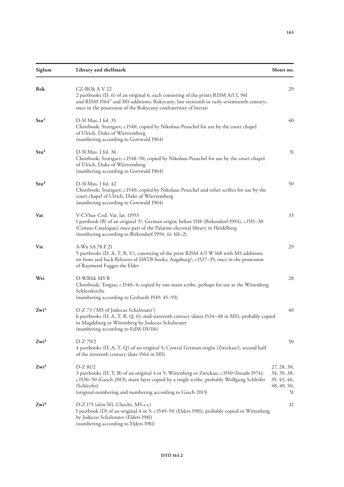| Siglum           | Library and shelfmark                                                                                                                                                                                                                                                           | Motet no.                                                      |
|------------------|---------------------------------------------------------------------------------------------------------------------------------------------------------------------------------------------------------------------------------------------------------------------------------|----------------------------------------------------------------|
| Rok              | CZ-ROk A V 22<br>2 partbooks (D, 6) of an original 6, each consisting of the prints RISM A/I L 961<br>and RISM 1564 <sup>3</sup> and MS additions; Rokycany; late sixteenth or early seventeenth century;<br>once in the possession of the Rokycany confraternity of literati   | 29                                                             |
| Stu <sup>1</sup> | D-Sl Mus. I fol. 35<br>Choirbook; Stuttgart; c.1540; copied by Nikolaus Peuschel for use by the court chapel<br>of Ulrich, Duke of Württemberg<br>(numbering according to Gottwald 1964)                                                                                        |                                                                |
| Stu <sup>2</sup> | D-Sl Mus. I fol. 36<br>Choirbook; Stuttgart; c.1548-50; copied by Nikolaus Peuschel for use by the court chapel<br>of Ulrich, Duke of Württemberg<br>(numbering according to Gottwald 1964)                                                                                     |                                                                |
| Stu <sup>3</sup> | D-Sl Mus. I fol. 42<br>Choirbook; Stuttgart; c.1540; copied by Nikolaus Peuschel and other scribes for use by the<br>court chapel of Ulrich, Duke of Württemberg<br>(numbering according to Gottwald 1964)                                                                      |                                                                |
| Vat              | V-CVbav Cod. Vat. lat. 11953<br>1 partbook (B) of an original 5?; German origin; before 1518 (Birkendorf 1994), c.1515-30<br>(Census-Catalogue); once part of the Palatine electoral library in Heidelberg<br>(numbering according to Birkendorf 1994, iii: 161-2)              | 33                                                             |
| Vie              | A-Wn SA.78.F.21<br>5 partbooks (D, A, T, B, V), consisting of the print RISM A/I W 168 with MS additions<br>on front and back flyleaves of DATB books; Augsburg?; c.1527-35; once in the possession<br>of Raymund Fugger the Elder                                              |                                                                |
| Wei              | D-WRhk MS B<br>Choirbook; Torgau; c.1540-4; copied by one main scribe, perhaps for use at the Wittenberg<br>Schlosskirche<br>(numbering according to Gerhardt 1949: 45-93)                                                                                                      |                                                                |
| Zwi <sup>1</sup> | D-Z 73 ('MS of Jodocus Schalreuter')<br>6 partbooks (D, A, T, B, Q, 6); mid-sixteenth century (dates 1534-48 in MS); probably copied<br>in Magdeburg or Wittenberg by Jodocus Schalreuter<br>(numbering according to EdM 115/116)                                               |                                                                |
| $Zwi^2$          | D-Z 79/2<br>4 partbooks (D, A, T, Q) of an original 5; Central German origin (Zwickau?); second half<br>of the sixteenth century (date 1564 in MS)                                                                                                                              | 50                                                             |
| $Zwi^3$          | D-Z 81/2<br>3 partbooks (D, T, B) of an original 4 or 5; Wittenberg or Zwickau; c.1550 (Steude 1974);<br>c.1530-50 (Gasch 2013); main layer copied by a single scribe, probably Wolfgang Schleifer<br>(Schleyfer)<br>(original numbering and numbering according to Gasch 2013) | 27, 28, 30,<br>34, 35, 38,<br>39, 43, 46,<br>48, 49, 50,<br>51 |
| Zwi <sup>4</sup> | D-Z 175 (olim NL-Uhecht, MS s.s.)<br>1 partbook (D) of an original 4 or 5; c.1549–50 (Elders 1981); probably copied in Wittenberg<br>by Jodocus Schalreuter (Elders 1981)<br>(numbering according to Elders 1981)                                                               | 32                                                             |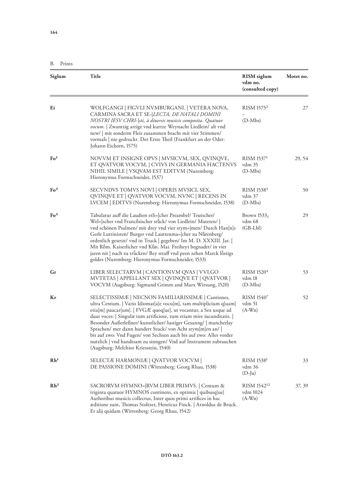**164**

B. Prints

| Siglum          | <b>Title</b>                                                                                                                                                                                                                                                                                                                                                                                                                                                                                                                                                                                | <b>RISM</b> siglum<br>vdm no.<br>(consulted copy) | Motet no. |
|-----------------|---------------------------------------------------------------------------------------------------------------------------------------------------------------------------------------------------------------------------------------------------------------------------------------------------------------------------------------------------------------------------------------------------------------------------------------------------------------------------------------------------------------------------------------------------------------------------------------------|---------------------------------------------------|-----------|
| Ei              | WOLFGANGI   FIGVLI NVMBURGANI.   VETERA NOVA,                                                                                                                                                                                                                                                                                                                                                                                                                                                                                                                                               | RISM 1575 <sup>2</sup>                            | 27        |
|                 | CARMINA SACRA ET SE- <i>LECTA, DE NATALI DOMINI</i><br>NOSTRI IESV CHRI- sti, à diuersis musicis composita. Quatuor<br>vocum.   Zwantzig artige vnd kurtze Weynacht Liedlein/ alt vnd<br>new/   mit sonderm Fleis zusammen bracht mit vier Stimmen/<br>vormals   nie gedruckt. Der Erste Theil (Frankfurt an der Oder:<br>Johann Eichorn, 1575)                                                                                                                                                                                                                                             | $(D-Mbs)$                                         |           |
| Fo <sup>1</sup> | NOVVM ET INSIGNE OPVS   MVSICVM, SEX, QVINQVE,<br>ET QVATVOR VOCVM,   CVIVS IN GERMANIA HACTENVS<br>NIHIL SIMILE   VSQVAM EST EDITVM (Nuremberg:<br>Hieronymus Formschneider, 1537)                                                                                                                                                                                                                                                                                                                                                                                                         | RISM 15371<br>vdm 35<br>$(D-Mbs)$                 | 29, 54    |
| Fo <sup>2</sup> | SECVNDVS TOMVS NOVI   OPERIS MVSICI, SEX,<br>QVINQVE ET   QVATVOR VOCVM, NVNC   RECENS IN<br>LVCEM   EDITVS (Nuremberg: Hieronymus Formschneider, 1538)                                                                                                                                                                                                                                                                                                                                                                                                                                     | RISM 15383<br>vdm 37<br>$(D-Mbs)$                 | 50        |
| Fo <sup>3</sup> | Tabulatur auff die Laudten etli= cher Preambel/ Teutscher/<br>Wel= scher vnd Francosischer stuck/von Liedlein/Muteten/<br>vnd schönen Psalmen/ mit drey vnd vier stym= men/ Durch Han[n]s<br>Gerle Luttinisten/ Burger vnd Lauttenma= cher zu Nürenberg/<br>ordenlich gesetzt/ vnd in Truck   gegeben/ Im M. D. XXXIII. Jar.<br>Mit Rom. Kaiserlicher vnd Kůn. Mai. Freiheyt begnadet/ in vier<br>jaren nit   nach zu trůcken/ Bey straff vnd peen zehen Marck lôstigs<br>goldes (Nuremberg: Hieronymus Formschneider, 1533)                                                                | Brown $1533_1$<br>vdm 68<br>$(GB-Lbl)$            | 29        |
| Gr              | LIBER SELECTARVM   CANTIONVM QVAS   VVLGO<br>MVTETAS   APPELLANT SEX   QVINQVE ET   QVATVOR  <br>VOCVM (Augsburg: Sigmund Grimm and Marx Wirsung, 1520)                                                                                                                                                                                                                                                                                                                                                                                                                                     | RISM 1520 <sup>4</sup><br>vdm 18<br>$(D-Mbs)$     | 53        |
| Kr              | SELECTISSIMÆ   NECNON FAMILIARISSIMÆ   Cantiones,<br>ultra Centum.   Vario Idiomat[a]e vocu[m], tam multiplicium q[uam]<br>etia[m] paucar[um].   FVGÆ quoq[ue], ut vocantur, a Sex usque ad<br>duas voces:   Singulæ tum artificiose, tum etiam mire iucunditatis.  <br>Besonder Außerleßner/ kunstlicher/ lustiger Gesanng/   mancherlay<br>Sprachen/ mer dann hundert Stuck/ von Acht stym[m]en an/  <br>bis auf zwo: Vnd Fugen/ von Sechsen auch bis auf zwo: Alles vorder<br>nutzlich   vnd handtsam zu sinngen/ Vnd auf Instrument zubrauchen<br>(Augsburg: Melchior Kriesstein, 1540) | RISM 15407<br>vdm 51<br>$(A-Wn)$                  | 52        |
| Rh <sup>1</sup> | SELECTÆ HARMONIÆ   QVATVOR VOCVM  <br>DE PASSIONE DOMINI (Wittenberg: Georg Rhau, 1538)                                                                                                                                                                                                                                                                                                                                                                                                                                                                                                     | RISM 1538 <sup>1</sup><br>vdm 36<br>$(D-Ju)$      | 33        |
| Rh <sup>2</sup> | SACRORVM HYMNO= RVM LIBER PRIMVS.   Centum &<br>triginta quatuor HYMNOS continens, ex optimis   quibusq[ue]<br>Authoribus musicis collectus, Inter quos primi artifices in hac<br>æditione sunt, Thomas Stoltzer, Henricus Finck.   Arnoldus de Bruck.<br>Et alij quidam (Wittenberg: Georg Rhau, 1542)                                                                                                                                                                                                                                                                                     | RISM 154212<br>vdm 1024<br>$(A-Wn)$               | 37, 39    |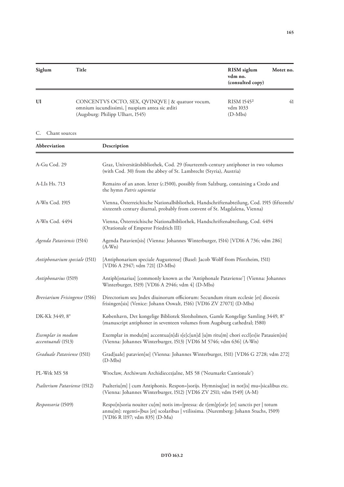| Siglum | Title                                                                                                                                 | <b>RISM</b> siglum<br>vdm no.<br>(consulted copy) | Motet no. |
|--------|---------------------------------------------------------------------------------------------------------------------------------------|---------------------------------------------------|-----------|
| U1     | CONCENTVS OCTO, SEX, QVINQVE   & quatuor vocum,<br>omnium iucundissimi,   nuspiam antea sic æditi<br>(Augsburg: Philipp Ulhart, 1545) | RISM 1545 <sup>2</sup><br>vdm 1033<br>$(D-Mbs)$   | 41        |

## C. Chant sources

| Abbreviation                            | Description                                                                                                                                                                                                    |  |
|-----------------------------------------|----------------------------------------------------------------------------------------------------------------------------------------------------------------------------------------------------------------|--|
| A-Gu Cod. 29                            | Graz, Universitätsbibliothek, Cod. 29 (fourteenth-century antiphoner in two volumes<br>(with Cod. 30) from the abbey of St. Lambrecht (Styria), Austria)                                                       |  |
| A-LIs Hs. 713                           | Remains of an anon. letter (c.1500), possibly from Salzburg, containing a Credo and<br>the hymn Patris sapientia                                                                                               |  |
| A-Wn Cod. 1915                          | Vienna, Österreichische Nationalbibliothek, Handschriftenabteilung, Cod. 1915 (fifteenth/<br>sixteenth century diurnal, probably from convent of St. Magdalena, Vienna)                                        |  |
| A-Wn Cod. 4494                          | Vienna, Österreichische Nationalbibliothek, Handschriftenabteilung, Cod. 4494<br>(Orationale of Emperor Friedrich III)                                                                                         |  |
| Agenda Pataviensis (1514)               | Agenda Patavien[sis] (Vienna: Johannes Winterburger, 1514) [VD16 A 736; vdm 286]<br>$(A-Wn)$                                                                                                                   |  |
| Antiphonarium speciale (1511)           | [Antiphonarium speciale Augustense] (Basel: Jacob Wolff from Pforzheim, 1511)<br>[VD16 A 2947; vdm 721] (D-Mbs)                                                                                                |  |
| Antiphonarius (1519)                    | Antiph[onarius] [commonly known as the 'Antiphonale Pataviense'] (Vienna: Johannes<br>Winterburger, 1519) [VD16 A 2946; vdm 4] (D-Mbs)                                                                         |  |
| Breviarium Frisingense (1516)           | Directorium seu Jndex diuinorum officiorum: Secundum ritum ecclesie [et] diocesis<br>frisingen[sis] (Venice: Johann Oswalt, 1516) [VD16 ZV 27071] (D-Mbs)                                                      |  |
| DK-Kk 3449, 8°                          | København, Det kongelige Bibliotek Slotsholmen, Gamle Kongelige Samling 3449, 8°<br>(manuscript antiphoner in seventeen volumes from Augsburg cathedral; 1580)                                                 |  |
| Exemplar in modum<br>accentuandi (1513) | Exemplar in modu[m] accentua[n]di s[e]c[un]d [u]m ritu[m] chori eccl[es]ie Patauien[sis]<br>(Vienna: Johannes Winterburger, 1513) [VD16 M 5746; vdm 636] (A-Wn)                                                |  |
| Graduale Pataviense (1511)              | Grad[uale] patavien[se] (Vienna: Johannes Winterburger, 1511) [VD16 G 2728; vdm 272]<br>$(D-Mbs)$                                                                                                              |  |
| PL-Wrk MS 58                            | Wrocław, Archiwum Archidiecezjalne, MS 58 ('Neumarkt Cantionale')                                                                                                                                              |  |
| Psalterium Pataviense (1512)            | Psalteriu[m]   cum Antiphonis. Respon= sorijs. Hymnisq[ue] in not[is] mu= sicalibus etc.<br>(Vienna: Johannes Winterburger, 1512) [VD16 ZV 2511; vdm 1549] (A-M)                                               |  |
| Responsoria (1509)                      | Respo[n]soria nouiter cu[m] notis im= pressa: de t[em]p[or]e [et] sanctis per   totum<br>annu[m]: regenti= bus [et] scolaribus   vtilissima. (Nuremberg: Johann Stuchs, 1509)<br>[VD16 R 1197; vdm 835] (D-Mu) |  |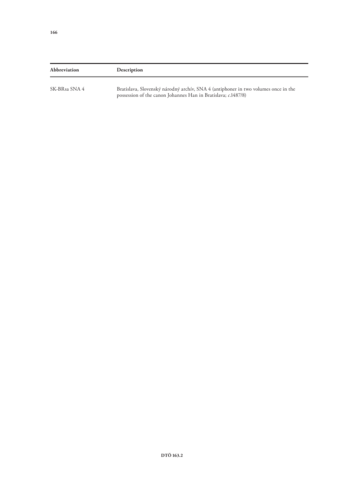| Abbreviation  | Description                                                                                                                                      |
|---------------|--------------------------------------------------------------------------------------------------------------------------------------------------|
| SK-BRsa SNA 4 | Bratislava, Slovenský národný archív, SNA 4 (antiphoner in two volumes once in the possession of the canon Johannes Han in Bratislava; c.1487/8) |
|               |                                                                                                                                                  |
|               |                                                                                                                                                  |
|               |                                                                                                                                                  |
|               |                                                                                                                                                  |
|               |                                                                                                                                                  |
|               |                                                                                                                                                  |
|               |                                                                                                                                                  |
|               |                                                                                                                                                  |
|               |                                                                                                                                                  |
|               |                                                                                                                                                  |
|               |                                                                                                                                                  |
|               |                                                                                                                                                  |
|               |                                                                                                                                                  |
|               |                                                                                                                                                  |
|               |                                                                                                                                                  |
|               |                                                                                                                                                  |
|               | DTÖ 163.2                                                                                                                                        |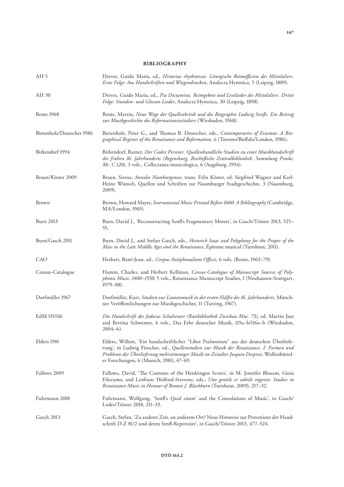## **BIBLIOGRAPHY**

| AH <sub>5</sub>           | Dreves, Guido Maria, ed., Historiae rhythmicae. Liturgische Reimofficien des Mittelalters.<br>Erste Folge: Aus Handschriften und Wiegendrucken, Analecta Hymnica, 5 (Leipzig, 1889).                                                                                                                                       |
|---------------------------|----------------------------------------------------------------------------------------------------------------------------------------------------------------------------------------------------------------------------------------------------------------------------------------------------------------------------|
| AH 30                     | Dreves, Guido Maria, ed., Pia Dictamina. Reimgebete und Leselieder des Mittelalters. Dritte<br>Folge: Stunden- und Glossen-Lieder, Analecta Hymnica, 30 (Leipzig, 1898).                                                                                                                                                   |
| Bente 1968                | Bente, Martin, Neue Wege der Quellenkritik und die Biographie Ludwig Senfls. Ein Beitrag<br>zur Musikgeschichte des Reformationszeitalters (Wiesbaden, 1968).                                                                                                                                                              |
| Bietenholz/Deutscher 1986 | Bietenholz, Peter G., and Thomas B. Deutscher, eds., Contemporaries of Erasmus: A Bio-<br>graphical Register of the Renaissance and Reformation, ii (Toronto/Buffalo/London, 1986).                                                                                                                                        |
| Birkendorf 1994           | Birkendorf, Rainer, Der Codex Pernner. Quellenkundliche Studien zu einer Musikhandschrift<br>des frühen 16. Jahrhunderts (Regensburg, Bischöfliche Zentralbibliothek, Sammlung Proske,<br>Ms. C 120), 3 vols., Collectanea musicologica, 6 (Augsburg, 1994).                                                               |
| Braun/Köster 2009         | Braun, Sixtus, Annales Numburgenses, trans. Felix Köster, ed. Siegfried Wagner and Karl-<br>Heinz Wünsch, Quellen und Schriften zur Naumburger Stadtgeschichte, 3 (Naumburg,<br>2009).                                                                                                                                     |
| Brown                     | Brown, Howard Mayer, Instrumental Music Printed Before 1600: A Bibliography (Cambridge,<br>MA/London, 1965).                                                                                                                                                                                                               |
| <b>Burn 2013</b>          | Burn, David J., 'Reconstructing Senfl's Fragmentary Motets', in Gasch/Tröster 2013, 525-<br>55.                                                                                                                                                                                                                            |
| Burn/Gasch 2011           | Burn, David J., and Stefan Gasch, eds., Heinrich Isaac and Polyphony for the Proper of the<br>Mass in the Late Middle Ages and the Renaissance, Épitome musical (Turnhout, 2011).                                                                                                                                          |
| CAO                       | Hesbert, René-Jean, ed., Corpus Antiphonalium Officii, 6 vols. (Rome, 1963-79).                                                                                                                                                                                                                                            |
| Census-Catalogue          | Hamm, Charles, and Herbert Kellman, Census-Catalogue of Manuscript Sources of Poly-<br>phonic Music, 1400-1550, 5 vols., Renaissance Manuscript Studies, 1 (Neuhausen-Stuttgart,<br>$1979 - 88$ ).                                                                                                                         |
| Dorfmüller 1967           | Dorfmüller, Kurt, Studien zur Lautenmusik in der ersten Hälfte des 16. Jahrhunderts, Münch-<br>ner Veröffentlichungen zur Musikgeschichte, 11 (Tutzing, 1967).                                                                                                                                                             |
| EdM 115/116               | Die Handschrift des Jodocus Schalreuter (Ratsbibliothek Zwickau Mus. 73), ed. Martin Just<br>and Bettina Schwemer, 4 vols., Das Erbe deutscher Musik, 115a-b/116a-b (Wiesbaden,<br>$2004-6$ ).                                                                                                                             |
| Elders 1981               | Elders, Willem, 'Ein handschriftlicher "Liber Psalmorum" aus der deutschen Überliefe-<br>rung', in Ludwig Finscher, ed., Quellenstudien zur Musik der Renaissance. I: Formen und<br>Probleme der Überlieferung mehrstimmiger Musik im Zeitalter Josquin Desprez, Wolfenbüttel-<br>er Forschungen, 6 (Munich, 1981), 47–69. |
| Fallows 2009              | Fallows, David, 'The Contents of the Herdringen Scores', in M. Jennifer Bloxam, Gioia<br>Filocamo, and Leofranc Holford-Strevens, eds., Uno gentile et subtile ingenio: Studies in<br>Renaissance Music in Honour of Bonnie J. Blackburn (Turnhout, 2009), 217-32.                                                         |
| Fuhrmann 2018             | Fuhrmann, Wolfgang, 'Senfl's <i>Quid vitam</i> ' and the Consolations of Music', in Gasch/<br>Lodes/Tröster 2018, 211-33.                                                                                                                                                                                                  |
| Gasch 2013                | Gasch, Stefan, 'Zu anderer Zeit, an anderem Ort? Neue Hinweise zur Provenienz der Hand-<br>schrift D-Z 81/2 und deren Senfl-Repertoire', in Gasch/Tröster 2013, 477-524.                                                                                                                                                   |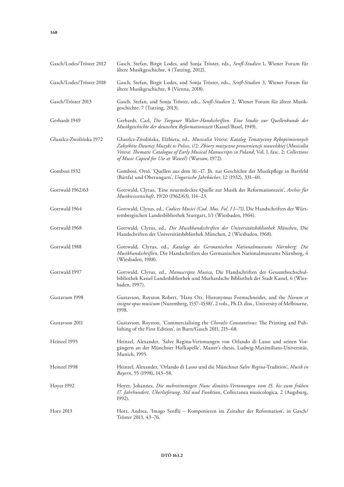| Gasch/Lodes/Tröster 2012 | Gasch, Stefan, Birgit Lodes, and Sonja Tröster, eds., Senfl-Studien 1, Wiener Forum für<br>ältere Musikgeschichte, 4 (Tutzing, 2012).                                                                                                                                                                                                       |
|--------------------------|---------------------------------------------------------------------------------------------------------------------------------------------------------------------------------------------------------------------------------------------------------------------------------------------------------------------------------------------|
| Gasch/Lodes/Tröster 2018 | Gasch, Stefan, Birgit Lodes, and Sonja Tröster, eds., Senfl-Studien 3, Wiener Forum für<br>ältere Musikgeschichte, 8 (Vienna, 2018).                                                                                                                                                                                                        |
| Gasch/Tröster 2013       | Gasch, Stefan, and Sonja Tröster, eds., Senfl-Studien 2, Wiener Forum für ältere Musik-<br>geschichte, 7 (Tutzing, 2013).                                                                                                                                                                                                                   |
| Gerhardt 1949            | Gerhardt, Carl, Die Torgauer Walter-Handschriften. Eine Studie zur Quellenkunde der<br>Musikgeschichte der deutschen Reformationszeit (Kassel/Basel, 1949).                                                                                                                                                                                 |
| Głuszlcz-Zwolińska 1972  | Głuszlcz-Zwolińska, Elżbieta, ed., Musicalia Vetera: Katalog Tematyczny Rękopiśmiennych<br>Zabytków Dawnej Muzyki w Polsce, i/2: Zbiory muzyczne proweniencji wawelskiej (Musicalia<br>Vetera: Thematic Catalogue of Early Musical Manuscripts in Poland, Vol. 1, fasc. 2: Collections<br>of Music Copied for Use at Wawel) (Warsaw, 1972). |
| Gombosi 1932             | Gombosi, Ottó, 'Quellen aus dem 16.–17. Jh. zur Geschichte der Musikpflege in Bartfeld<br>(Bártfa) und Oberungarn', Ungarische Jahrbücher, 12 (1932), 331-40.                                                                                                                                                                               |
| Gottwald 1962/63         | Gottwald, Clytus, 'Eine neuentdeckte Quelle zur Musik der Reformationszeit', Archiv für<br>Musikwissenschaft, 19/20 (1962/63), 114-23.                                                                                                                                                                                                      |
| Gottwald 1964            | Gottwald, Clytus, ed., Codices Musici (Cod. Mus. Fol. I 1-71), Die Handschriften der Würt-<br>tembergischen Landesbibliothek Stuttgart, 1/1 (Wiesbaden, 1964).                                                                                                                                                                              |
| Gottwald 1968            | Gottwald, Clytus, ed., Die Musikhandschriften der Universitätsbibliothek München, Die<br>Handschriften der Universitätsbibliothek München, 2 (Wiesbaden, 1968).                                                                                                                                                                             |
| Gottwald 1988            | Gottwald, Clytus, ed., Kataloge des Germanischen Nationalmuseums Nürnberg: Die<br>Musikhandschriften, Die Handschriften des Germanischen Nationalmuseums Nürnberg, 4<br>(Wiesbaden, 1988).                                                                                                                                                  |
| Gottwald 1997            | Gottwald, Clytus, ed., Manuscripta Musica, Die Handschriften der Gesamthochschul-<br>bibliothek Kassel Landesbibliothek und Murhardsche Bibliothek der Stadt Kassel, 6 (Wies-<br>baden, 1997).                                                                                                                                              |
| Gustavson 1998           | Gustavson, Royston Robert, 'Hans Ott, Hieronymus Formschneider, and the Novum et<br>insigne opus musicum (Nuremberg, 1537-1538)', 2 vols., Ph.D. diss., University of Melbourne,<br>1998.                                                                                                                                                   |
| Gustavson 2011           | Gustavson, Royston, 'Commercialising the Choralis Constantinus: The Printing and Pub-<br>lishing of the First Edition', in Burn/Gasch 2011, 215-68.                                                                                                                                                                                         |
| Heinzel 1995             | Heinzel, Alexander, 'Salve Regina-Vertonungen von Orlando di Lasso und seinen Vor-<br>gängern an der Münchner Hofkapelle', Master's thesis, Ludwig-Maximilians-Universität,<br>Munich, 1995.                                                                                                                                                |
| Heinzel 1998             | Heinzel, Alexander, 'Orlando di Lasso und die Münchner Salve Regina-Tradition', Musik in<br>Bayern, 55 (1998), 143–58.                                                                                                                                                                                                                      |
| Hoyer 1992               | Hoyer, Johannes, Die mehrstimmigen Nunc dimittis-Vertonungen vom 15. bis zum frühen<br>17. Jahrhundert. Überlieferung, Stil und Funktion, Collectanea musicologica, 2 (Augsburg,<br>1992).                                                                                                                                                  |
| Horz 2013                | Horz, Andrea, 'Imago Senflij – Komponieren im Zeitalter der Reformation', in Gasch/<br>Tröster 2013, 43-76.                                                                                                                                                                                                                                 |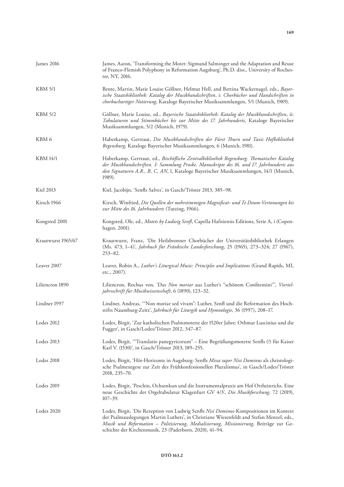| James 2016         | James, Aaron, 'Transforming the Motet: Sigmund Salminger and the Adaptation and Reuse<br>of Franco-Flemish Polyphony in Reformation Augsburg', Ph.D. diss., University of Roches-<br>ter, NY, 2016.                                                                                                                                    |
|--------------------|----------------------------------------------------------------------------------------------------------------------------------------------------------------------------------------------------------------------------------------------------------------------------------------------------------------------------------------|
| <b>KBM 5/1</b>     | Bente, Martin, Marie Louise Göllner, Helmut Hell, and Bettina Wackernagel, eds., Bayer-<br>ische Staatsbibliothek: Katalog der Musikhandschriften, i: Chorbücher und Handschriften in<br>chorbuchartiger Notierung, Kataloge Bayerischer Musiksammlungen, 5/1 (Munich, 1989).                                                          |
| <b>KBM 5/2</b>     | Göllner, Marie Louise, ed., Bayerische Staatsbibliothek: Katalog der Musikhandschriften, ii:<br>Tabulaturen und Stimmbücher bis zur Mitte des 17. Jahrhunderts, Kataloge Bayerischer<br>Musiksammlungen, 5/2 (Munich, 1979).                                                                                                           |
| KBM 6              | Haberkamp, Gertraut, Die Musikhandschriften der Fürst Thurn und Taxis Hofbibliothek<br>Regensburg, Kataloge Bayerischer Musiksammlungen, 6 (Munich, 1981).                                                                                                                                                                             |
| <b>KBM 14/1</b>    | Haberkamp, Gertraut, ed., Bischöfliche Zentralbibliothek Regensburg. Thematischer Katalog<br>der Musikhandschriften. I: Sammlung Proske. Manuskripte des 16. und 17. Jahrhunderts aus<br>den Signaturen A.R., B, C, AN, 1, Kataloge Bayerischer Musiksammlungen, 14/1 (Munich,<br>1989).                                               |
| <b>Kiel 2013</b>   | Kiel, Jacobijn, 'Senfls Salves', in Gasch/Tröster 2013, 385–98.                                                                                                                                                                                                                                                                        |
| Kirsch 1966        | Kirsch, Winfried, Die Quellen der mehrstimmigen Magnificat- und Te Deum-Vertonungen bis<br>zur Mitte des 16. Jahrhunderts (Tutzing, 1966).                                                                                                                                                                                             |
| Kongsted 2001      | Kongsted, Ole, ed., Motets by Ludwig Senfl, Capella Hafniensis Editions, Serie A, i (Copen-<br>hagen, 2001).                                                                                                                                                                                                                           |
| Krautwurst 1965/67 | Krautwurst, Franz, 'Die Heilsbronner Chorbücher der Universitätsbibliothek Erlangen<br>(Ms. 473, 1-4)', Jahrbuch für Fränkische Landesforschung, 25 (1965), 273-324; 27 (1967),<br>$253 - 82.$                                                                                                                                         |
| Leaver 2007        | Leaver, Robin A., Luther's Liturgical Music: Principles and Implications (Grand Rapids, MI,<br>etc., 2007).                                                                                                                                                                                                                            |
| Liliencron 1890    | Liliencron, Rochus von, 'Das Non moriar aus Luther's "schönem Confitemini", Viertel-<br>jahrsschrift für Musikwissenschaft, 6 (1890), 123–32.                                                                                                                                                                                          |
| Lindner 1997       | Lindner, Andreas, "Non moriar sed vivam": Luther, Senfl und die Reformation des Hoch-<br>stifts Naumburg-Zeitz', Jahrbuch für Liturgik und Hymnologie, 36 (1997), 208-17.                                                                                                                                                              |
| Lodes 2012         | Lodes, Birgit, 'Zur katholischen Psalmmotette der 1520er Jahre: Othmar Luscinius und die<br>Fugger', in Gasch/Lodes/Tröster 2012, 347-87.                                                                                                                                                                                              |
| Lodes 2013         | Lodes, Birgit, "Translatio panegyricorum" - Eine Begrüßungsmotette Senfls (?) für Kaiser<br>Karl V. (1530)', in Gasch/Tröster 2013, 189-255.                                                                                                                                                                                           |
| Lodes 2018         | Lodes, Birgit, 'Hör-Horizonte in Augsburg: Senfls Missa super Nisi Dominus als christologi-<br>sche Psalmexegese zur Zeit des Frühkonfessionellen Pluralismus', in Gasch/Lodes/Tröster<br>2018, 235-70.                                                                                                                                |
| Lodes 2019         | Lodes, Birgit, 'Peschin, Ochsenkun und die Instrumentalpraxis am Hof Ottheinrichs. Eine<br>neue Geschichte der Orgeltabulatur Klagenfurt GV 4/3', Die Musikforschung, 72 (2019),<br>$107 - 39.$                                                                                                                                        |
| Lodes 2020         | Lodes, Birgit, 'Die Rezeption von Ludwig Senfls Nisi Dominus-Kompositionen im Kontext<br>der Psalmauslegungen Martin Luthers', in Christiane Wiesenfeldt and Stefan Menzel, eds.,<br>Musik und Reformation - Politisierung, Medialisierung, Missionierung, Beiträge zur Ge-<br>schichte der Kirchenmusik, 23 (Paderborn, 2020), 41-94. |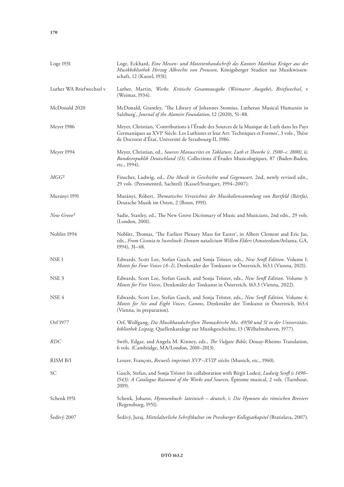| Loge 1931                | Loge, Eckhard, Eine Messen- und Motettenhandschrift des Kantors Matthias Krüger aus der<br>Musikbibliothek Herzog Albrechts von Preussen, Königsberger Studien zur Musikwissen-<br>schaft, 12 (Kassel, 1931).                                                    |
|--------------------------|------------------------------------------------------------------------------------------------------------------------------------------------------------------------------------------------------------------------------------------------------------------|
| Luther WA Briefwechsel v | Luther, Martin, Werke. Kritische Gesamtausgabe (Weimarer Ausgabe), Briefwechsel, v<br>(Weimar, 1934).                                                                                                                                                            |
| McDonald 2020            | McDonald, Grantley, 'The Library of Johannes Stomius, Lutheran Musical Humanist in<br>Salzburg', Journal of the Alamire Foundation, 12 (2020), 51-88.                                                                                                            |
| Meyer 1986               | Meyer, Christian, 'Contributions à l'Étude des Sources de la Musique de Luth dans les Pays<br>Germaniques au XVI <sup>e</sup> Siècle. Les Luthistes et leur Art: Techniques et Formes', 3 vols., Thèse<br>de Doctorat d'État, Université de Strasbourg-II, 1986. |
| Meyer 1994               | Meyer, Christian, ed., Sources Manuscrites en Tablature, Luth et Theorbe (c. 1500-c. 1800), ii:<br>Bundesrepublik Deutschland (D), Collections d'Études Musicologiques, 87 (Baden-Baden,<br>etc., 1994).                                                         |
| $MGG^2$                  | Finscher, Ludwig, ed., Die Musik in Geschichte und Gegenwart, 2nd, newly revised edn.,<br>29 vols. (Personenteil, Sachteil) (Kassel/Stuttgart, 1994-2007).                                                                                                       |
| Murányi 1991             | Murányi, Róbert, Thematisches Verzeichnis der Musikaliensammlung von Bartfeld (Bártfa),<br>Deutsche Musik im Osten, 2 (Bonn, 1991).                                                                                                                              |
| New Grove <sup>2</sup>   | Sadie, Stanley, ed., The New Grove Dictionary of Music and Musicians, 2nd edn., 29 vols.<br>(London, 2001).                                                                                                                                                      |
| Noblitt 1994             | Noblitt, Thomas, 'The Earliest Plenary Mass for Easter', in Albert Clement and Eric Jas,<br>eds., From Ciconia to Sweelinck: Donum natalicium Willem Elders (Amsterdam/Atlanta, GA,<br>1994), 31–48.                                                             |
| NSE <sub>1</sub>         | Edwards, Scott Lee, Stefan Gasch, and Sonja Tröster, eds., New Senfl Edition. Volume 1:<br>Motets for Four Voices (A-I), Denkmäler der Tonkunst in Österreich, 163.1 (Vienna, 2021).                                                                             |
| NSE <sub>3</sub>         | Edwards, Scott Lee, Stefan Gasch, and Sonja Tröster, eds., New Senfl Edition. Volume 3:<br>Motets for Five Voices, Denkmäler der Tonkunst in Österreich, 163.3 (Vienna, 2022).                                                                                   |
| NSE 4                    | Edwards, Scott Lee, Stefan Gasch, and Sonja Tröster, eds., New Senfl Edition. Volume 4:<br>Motets for Six and Eight Voices, Canons, Denkmäler der Tonkunst in Österreich, 163.4<br>(Vienna, in preparation).                                                     |
| Orf 1977                 | Orf, Wolfgang, Die Musikhandschriften Thomaskirche Mss. 49/50 und 51 in der Universitäts-<br>bibliothek Leipzig, Quellenkataloge zur Musikgeschichte, 13 (Wilhelmshaven, 1977).                                                                                  |
| <b>RDC</b>               | Swift, Edgar, and Angela M. Kinney, eds., The Vulgate Bible, Douay-Rheims Translation,<br>6 vols. (Cambridge, MA/London, 2010-2013).                                                                                                                             |
| RISM B/I                 | Lesure, François, Recueils imprimés XVIe-XVIIe siècles (Munich, etc., 1960).                                                                                                                                                                                     |
| SC                       | Gasch, Stefan, and Sonja Tröster (in collaboration with Birgit Lodes), Ludwig Senfl (c.1490–<br>1543): A Catalogue Raisonné of the Works and Sources, Épitome musical, 2 vols. (Turnhout,<br>2019).                                                              |
| Schenk 1951              | Schenk, Johann, Hymnenbuch: lateinisch – deutsch, i: Die Hymnen des römischen Breviers<br>(Regensburg, 1951).                                                                                                                                                    |
| Šedivý 2007              | Šedivý, Juraj, Mittelalterliche Schriftkultur im Pressburger Kollegiatkapitel (Bratislava, 2007).                                                                                                                                                                |